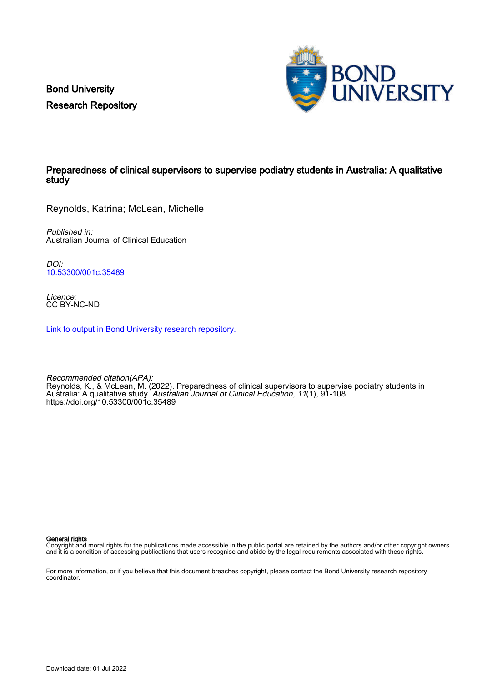Bond University Research Repository



# Preparedness of clinical supervisors to supervise podiatry students in Australia: A qualitative study

Reynolds, Katrina; McLean, Michelle

Published in: Australian Journal of Clinical Education

DOI: [10.53300/001c.35489](https://doi.org/10.53300/001c.35489)

Licence: CC BY-NC-ND

[Link to output in Bond University research repository.](https://research.bond.edu.au/en/publications/70a71143-55cf-4d68-ac36-92cc907d81e9)

Recommended citation(APA): Reynolds, K., & McLean, M. (2022). Preparedness of clinical supervisors to supervise podiatry students in Australia: A qualitative study. *Australian Journal of Clinical Education*, 11(1), 91-108. <https://doi.org/10.53300/001c.35489>

General rights

Copyright and moral rights for the publications made accessible in the public portal are retained by the authors and/or other copyright owners and it is a condition of accessing publications that users recognise and abide by the legal requirements associated with these rights.

For more information, or if you believe that this document breaches copyright, please contact the Bond University research repository coordinator.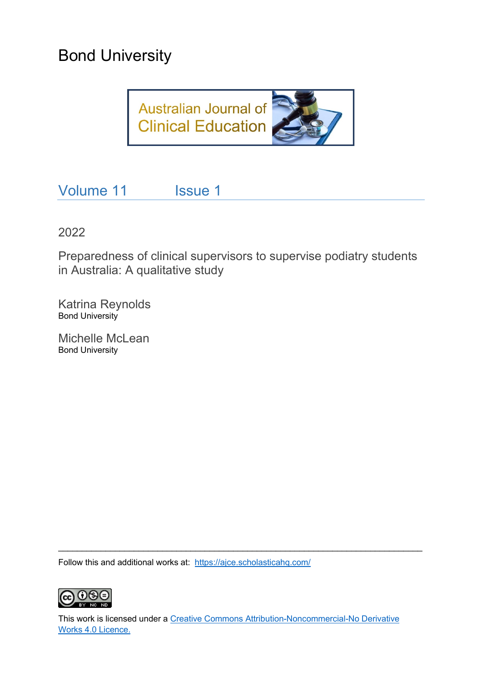# Bond University



Volume 11 Issue 1

2022

Preparedness of clinical supervisors to supervise podiatry students in Australia: A qualitative study

Katrina Reynolds Bond University

Michelle McLean Bond University

Follow this and additional works at: <https://ajce.scholasticahq.com/>



This work is licensed under a [Creative Commons Attribution-Noncommercial-No Derivative](https://creativecommons.org/licenses/by/4.0/)  [Works 4.0 Licence.](https://creativecommons.org/licenses/by/4.0/)

\_\_\_\_\_\_\_\_\_\_\_\_\_\_\_\_\_\_\_\_\_\_\_\_\_\_\_\_\_\_\_\_\_\_\_\_\_\_\_\_\_\_\_\_\_\_\_\_\_\_\_\_\_\_\_\_\_\_\_\_\_\_\_\_\_\_\_\_\_\_\_\_\_\_\_\_\_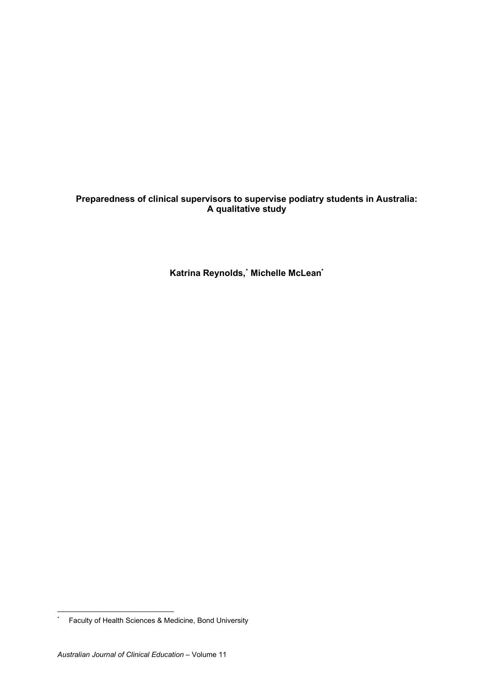# **Preparedness of clinical supervisors to supervise podiatry students in Australia: A qualitative study**

**Katrina Reynolds, [\\*](#page-2-0) Michelle McLean\***

<span id="page-2-0"></span><sup>\*</sup> Faculty of Health Sciences & Medicine, Bond University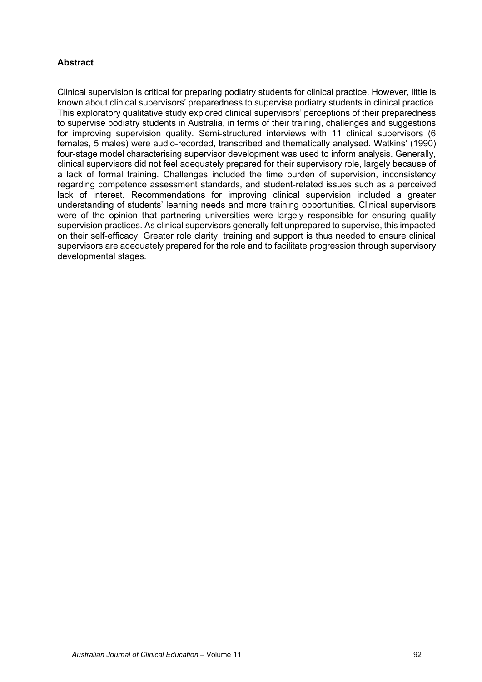# **Abstract**

Clinical supervision is critical for preparing podiatry students for clinical practice. However, little is known about clinical supervisors' preparedness to supervise podiatry students in clinical practice. This exploratory qualitative study explored clinical supervisors' perceptions of their preparedness to supervise podiatry students in Australia, in terms of their training, challenges and suggestions for improving supervision quality. Semi-structured interviews with 11 clinical supervisors (6 females, 5 males) were audio-recorded, transcribed and thematically analysed. Watkins' (1990) four-stage model characterising supervisor development was used to inform analysis. Generally, clinical supervisors did not feel adequately prepared for their supervisory role, largely because of a lack of formal training. Challenges included the time burden of supervision, inconsistency regarding competence assessment standards, and student-related issues such as a perceived lack of interest. Recommendations for improving clinical supervision included a greater understanding of students' learning needs and more training opportunities. Clinical supervisors were of the opinion that partnering universities were largely responsible for ensuring quality supervision practices. As clinical supervisors generally felt unprepared to supervise, this impacted on their self-efficacy. Greater role clarity, training and support is thus needed to ensure clinical supervisors are adequately prepared for the role and to facilitate progression through supervisory developmental stages.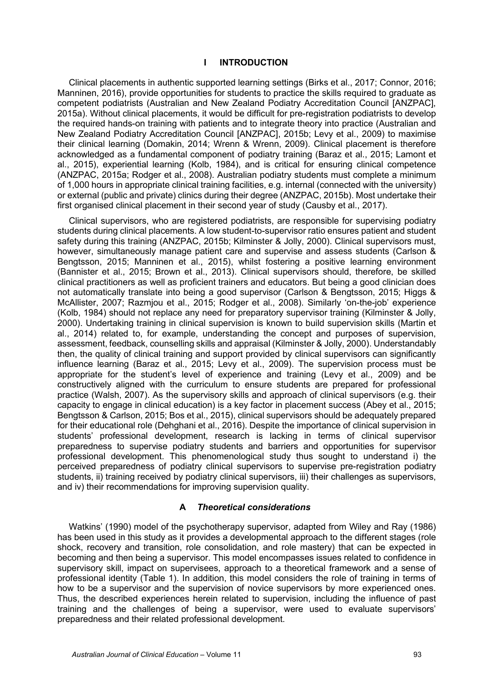## **I INTRODUCTION**

Clinical placements in authentic supported learning settings (Birks et al., 2017; Connor, 2016; Manninen, 2016), provide opportunities for students to practice the skills required to graduate as competent podiatrists (Australian and New Zealand Podiatry Accreditation Council [ANZPAC], 2015a). Without clinical placements, it would be difficult for pre-registration podiatrists to develop the required hands-on training with patients and to integrate theory into practice (Australian and New Zealand Podiatry Accreditation Council [ANZPAC], 2015b; Levy et al., 2009) to maximise their clinical learning (Domakin, 2014; Wrenn & Wrenn, 2009). Clinical placement is therefore acknowledged as a fundamental component of podiatry training (Baraz et al., 2015; Lamont et al., 2015), experiential learning (Kolb, 1984), and is critical for ensuring clinical competence (ANZPAC, 2015a; Rodger et al., 2008). Australian podiatry students must complete a minimum of 1,000 hours in appropriate clinical training facilities, e.g. internal (connected with the university) or external (public and private) clinics during their degree (ANZPAC, 2015b). Most undertake their first organised clinical placement in their second year of study (Causby et al., 2017).

Clinical supervisors, who are registered podiatrists, are responsible for supervising podiatry students during clinical placements. A low student-to-supervisor ratio ensures patient and student safety during this training (ANZPAC, 2015b; Kilminster & Jolly, 2000). Clinical supervisors must, however, simultaneously manage patient care and supervise and assess students (Carlson & Bengtsson, 2015; Manninen et al., 2015), whilst fostering a positive learning environment (Bannister et al., 2015; Brown et al., 2013). Clinical supervisors should, therefore, be skilled clinical practitioners as well as proficient trainers and educators. But being a good clinician does not automatically translate into being a good supervisor (Carlson & Bengtsson, 2015; Higgs & McAllister, 2007; Razmjou et al., 2015; Rodger et al., 2008). Similarly 'on-the-job' experience (Kolb, 1984) should not replace any need for preparatory supervisor training (Kilminster & Jolly, 2000). Undertaking training in clinical supervision is known to build supervision skills (Martin et al., 2014) related to, for example, understanding the concept and purposes of supervision, assessment, feedback, counselling skills and appraisal (Kilminster & Jolly, 2000). Understandably then, the quality of clinical training and support provided by clinical supervisors can significantly influence learning (Baraz et al., 2015; Levy et al., 2009). The supervision process must be appropriate for the student's level of experience and training (Levy et al., 2009) and be constructively aligned with the curriculum to ensure students are prepared for professional practice (Walsh, 2007). As the supervisory skills and approach of clinical supervisors (e.g. their capacity to engage in clinical education) is a key factor in placement success (Abey et al., 2015; Bengtsson & Carlson, 2015; Bos et al., 2015), clinical supervisors should be adequately prepared for their educational role (Dehghani et al., 2016). Despite the importance of clinical supervision in students' professional development, research is lacking in terms of clinical supervisor preparedness to supervise podiatry students and barriers and opportunities for supervisor professional development. This phenomenological study thus sought to understand i) the perceived preparedness of podiatry clinical supervisors to supervise pre-registration podiatry students, ii) training received by podiatry clinical supervisors, iii) their challenges as supervisors, and iv) their recommendations for improving supervision quality.

## **A** *Theoretical considerations*

Watkins' (1990) model of the psychotherapy supervisor, adapted from Wiley and Ray (1986) has been used in this study as it provides a developmental approach to the different stages (role shock, recovery and transition, role consolidation, and role mastery) that can be expected in becoming and then being a supervisor. This model encompasses issues related to confidence in supervisory skill, impact on supervisees, approach to a theoretical framework and a sense of professional identity (Table 1). In addition, this model considers the role of training in terms of how to be a supervisor and the supervision of novice supervisors by more experienced ones. Thus, the described experiences herein related to supervision, including the influence of past training and the challenges of being a supervisor, were used to evaluate supervisors' preparedness and their related professional development.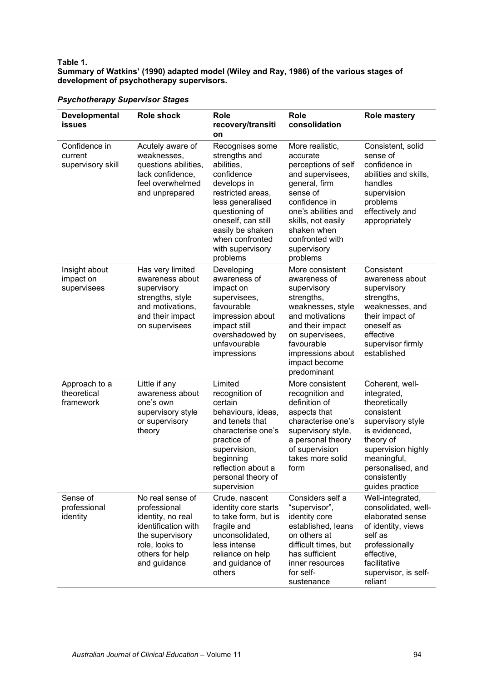## **Table 1.**

## **Summary of Watkins' (1990) adapted model (Wiley and Ray, 1986) of the various stages of development of psychotherapy supervisors.**

| Developmental<br><b>issues</b>                | <b>Role shock</b>                                                                                                                                    | <b>Role</b><br>recovery/transiti<br>on                                                                                                                                                                                              | <b>Role</b><br>consolidation                                                                                                                                                                                                   | <b>Role mastery</b>                                                                                                                                                                                           |
|-----------------------------------------------|------------------------------------------------------------------------------------------------------------------------------------------------------|-------------------------------------------------------------------------------------------------------------------------------------------------------------------------------------------------------------------------------------|--------------------------------------------------------------------------------------------------------------------------------------------------------------------------------------------------------------------------------|---------------------------------------------------------------------------------------------------------------------------------------------------------------------------------------------------------------|
| Confidence in<br>current<br>supervisory skill | Acutely aware of<br>weaknesses,<br>questions abilities,<br>lack confidence,<br>feel overwhelmed<br>and unprepared                                    | Recognises some<br>strengths and<br>abilities,<br>confidence<br>develops in<br>restricted areas,<br>less generalised<br>questioning of<br>oneself, can still<br>easily be shaken<br>when confronted<br>with supervisory<br>problems | More realistic,<br>accurate<br>perceptions of self<br>and supervisees,<br>general, firm<br>sense of<br>confidence in<br>one's abilities and<br>skills, not easily<br>shaken when<br>confronted with<br>supervisory<br>problems | Consistent, solid<br>sense of<br>confidence in<br>abilities and skills,<br>handles<br>supervision<br>problems<br>effectively and<br>appropriately                                                             |
| Insight about<br>impact on<br>supervisees     | Has very limited<br>awareness about<br>supervisory<br>strengths, style<br>and motivations,<br>and their impact<br>on supervisees                     | Developing<br>awareness of<br>impact on<br>supervisees,<br>favourable<br>impression about<br>impact still<br>overshadowed by<br>unfavourable<br>impressions                                                                         | More consistent<br>awareness of<br>supervisory<br>strengths,<br>weaknesses, style<br>and motivations<br>and their impact<br>on supervisees,<br>favourable<br>impressions about<br>impact become<br>predominant                 | Consistent<br>awareness about<br>supervisory<br>strengths,<br>weaknesses, and<br>their impact of<br>oneself as<br>effective<br>supervisor firmly<br>established                                               |
| Approach to a<br>theoretical<br>framework     | Little if any<br>awareness about<br>one's own<br>supervisory style<br>or supervisory<br>theory                                                       | Limited<br>recognition of<br>certain<br>behaviours, ideas,<br>and tenets that<br>characterise one's<br>practice of<br>supervision,<br>beginning<br>reflection about a<br>personal theory of<br>supervision                          | More consistent<br>recognition and<br>definition of<br>aspects that<br>characterise one's<br>supervisory style,<br>a personal theory<br>of supervision<br>takes more solid<br>form                                             | Coherent, well-<br>integrated,<br>theoretically<br>consistent<br>supervisory style<br>is evidenced,<br>theory of<br>supervision highly<br>meaningful,<br>personalised, and<br>consistently<br>guides practice |
| Sense of<br>professional<br>identity          | No real sense of<br>professional<br>identity, no real<br>identification with<br>the supervisory<br>role, looks to<br>others for help<br>and guidance | Crude, nascent<br>identity core starts<br>to take form, but is<br>fragile and<br>unconsolidated,<br>less intense<br>reliance on help<br>and guidance of<br>others                                                                   | Considers self a<br>"supervisor",<br>identity core<br>established, leans<br>on others at<br>difficult times, but<br>has sufficient<br>inner resources<br>for self-<br>sustenance                                               | Well-integrated,<br>consolidated, well-<br>elaborated sense<br>of identity, views<br>self as<br>professionally<br>effective,<br>facilitative<br>supervisor, is self-<br>reliant                               |

# *Psychotherapy Supervisor Stages*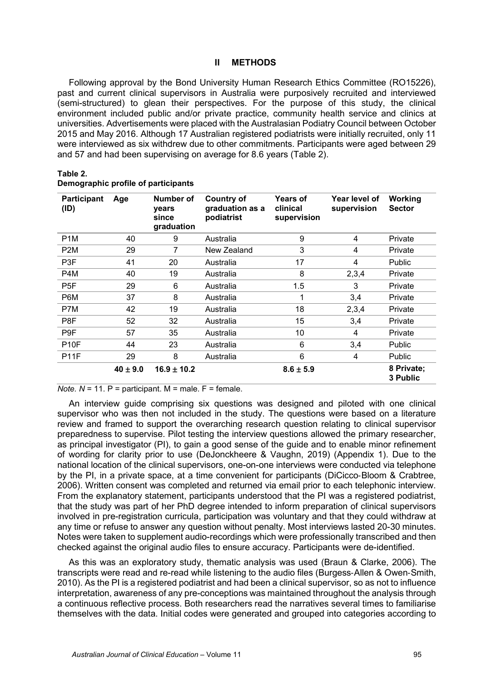## **II METHODS**

Following approval by the Bond University Human Research Ethics Committee (RO15226), past and current clinical supervisors in Australia were purposively recruited and interviewed (semi-structured) to glean their perspectives. For the purpose of this study, the clinical environment included public and/or private practice, community health service and clinics at universities. Advertisements were placed with the Australasian Podiatry Council between October 2015 and May 2016. Although 17 Australian registered podiatrists were initially recruited, only 11 were interviewed as six withdrew due to other commitments. Participants were aged between 29 and 57 and had been supervising on average for 8.6 years (Table 2).

| <b>Participant</b><br>(ID) | Age          | Number of<br>years<br>since<br>graduation | <b>Country of</b><br>graduation as a<br>podiatrist | <b>Years of</b><br>clinical<br>supervision | Year level of<br>supervision | Working<br><b>Sector</b> |
|----------------------------|--------------|-------------------------------------------|----------------------------------------------------|--------------------------------------------|------------------------------|--------------------------|
| P <sub>1</sub> M           | 40           | 9                                         | Australia                                          | 9                                          | 4                            | Private                  |
| P <sub>2</sub> M           | 29           | 7                                         | New Zealand                                        | 3                                          | 4                            | Private                  |
| P <sub>3</sub> F           | 41           | 20                                        | Australia                                          | 17                                         | 4                            | <b>Public</b>            |
| P4M                        | 40           | 19                                        | Australia                                          | 8                                          | 2,3,4                        | Private                  |
| P <sub>5F</sub>            | 29           | 6                                         | Australia                                          | 1.5                                        | 3                            | Private                  |
| P6M                        | 37           | 8                                         | Australia                                          | 1                                          | 3,4                          | Private                  |
| P7M                        | 42           | 19                                        | Australia                                          | 18                                         | 2,3,4                        | Private                  |
| P8F                        | 52           | 32                                        | Australia                                          | 15                                         | 3,4                          | Private                  |
| P9F                        | 57           | 35                                        | Australia                                          | 10                                         | 4                            | Private                  |
| <b>P10F</b>                | 44           | 23                                        | Australia                                          | 6                                          | 3,4                          | Public                   |
| <b>P11F</b>                | 29           | 8                                         | Australia                                          | 6                                          | 4                            | Public                   |
|                            | $40 \pm 9.0$ | $16.9 \pm 10.2$                           |                                                    | $8.6 \pm 5.9$                              |                              | 8 Private;<br>3 Public   |

#### **Demographic profile of participants**

*Note.*  $N = 11$ .  $P =$  participant.  $M =$  male.  $F =$  female.

An interview guide comprising six questions was designed and piloted with one clinical supervisor who was then not included in the study. The questions were based on a literature review and framed to support the overarching research question relating to clinical supervisor preparedness to supervise. Pilot testing the interview questions allowed the primary researcher, as principal investigator (PI), to gain a good sense of the guide and to enable minor refinement of wording for clarity prior to use (DeJonckheere & Vaughn, 2019) (Appendix 1). Due to the national location of the clinical supervisors, one-on-one interviews were conducted via telephone by the PI, in a private space, at a time convenient for participants (DiCicco-Bloom & Crabtree, 2006). Written consent was completed and returned via email prior to each telephonic interview. From the explanatory statement, participants understood that the PI was a registered podiatrist, that the study was part of her PhD degree intended to inform preparation of clinical supervisors involved in pre-registration curricula, participation was voluntary and that they could withdraw at any time or refuse to answer any question without penalty. Most interviews lasted 20-30 minutes. Notes were taken to supplement audio-recordings which were professionally transcribed and then checked against the original audio files to ensure accuracy. Participants were de-identified.

As this was an exploratory study, thematic analysis was used (Braun & Clarke, 2006). The transcripts were read and re-read while listening to the audio files (Burgess‐Allen & Owen‐Smith, 2010). As the PI is a registered podiatrist and had been a clinical supervisor, so as not to influence interpretation, awareness of any pre-conceptions was maintained throughout the analysis through a continuous reflective process. Both researchers read the narratives several times to familiarise themselves with the data. Initial codes were generated and grouped into categories according to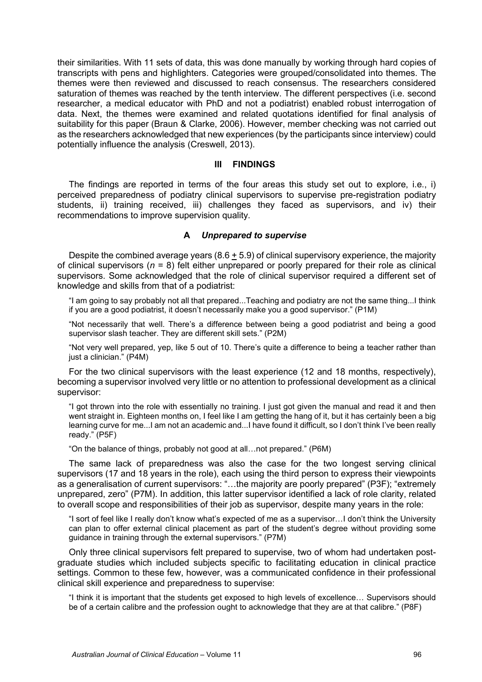their similarities. With 11 sets of data, this was done manually by working through hard copies of transcripts with pens and highlighters. Categories were grouped/consolidated into themes. The themes were then reviewed and discussed to reach consensus. The researchers considered saturation of themes was reached by the tenth interview. The different perspectives (i.e. second researcher, a medical educator with PhD and not a podiatrist) enabled robust interrogation of data. Next, the themes were examined and related quotations identified for final analysis of suitability for this paper (Braun & Clarke, 2006). However, member checking was not carried out as the researchers acknowledged that new experiences (by the participants since interview) could potentially influence the analysis (Creswell, 2013).

# **III FINDINGS**

The findings are reported in terms of the four areas this study set out to explore, i.e., i) perceived preparedness of podiatry clinical supervisors to supervise pre-registration podiatry students, ii) training received, iii) challenges they faced as supervisors, and iv) their recommendations to improve supervision quality.

#### **A** *Unprepared to supervise*

Despite the combined average years  $(8.6 + 5.9)$  of clinical supervisory experience, the majority of clinical supervisors (*n* = 8) felt either unprepared or poorly prepared for their role as clinical supervisors. Some acknowledged that the role of clinical supervisor required a different set of knowledge and skills from that of a podiatrist:

"I am going to say probably not all that prepared...Teaching and podiatry are not the same thing...I think if you are a good podiatrist, it doesn't necessarily make you a good supervisor." (P1M)

"Not necessarily that well. There's a difference between being a good podiatrist and being a good supervisor slash teacher. They are different skill sets." (P2M)

"Not very well prepared, yep, like 5 out of 10. There's quite a difference to being a teacher rather than just a clinician." (P4M)

For the two clinical supervisors with the least experience (12 and 18 months, respectively), becoming a supervisor involved very little or no attention to professional development as a clinical supervisor:

"I got thrown into the role with essentially no training. I just got given the manual and read it and then went straight in. Eighteen months on, I feel like I am getting the hang of it, but it has certainly been a big learning curve for me...I am not an academic and...I have found it difficult, so I don't think I've been really ready." (P5F)

"On the balance of things, probably not good at all…not prepared." (P6M)

The same lack of preparedness was also the case for the two longest serving clinical supervisors (17 and 18 years in the role), each using the third person to express their viewpoints as a generalisation of current supervisors: "…the majority are poorly prepared" (P3F); "extremely unprepared, zero" (P7M). In addition, this latter supervisor identified a lack of role clarity, related to overall scope and responsibilities of their job as supervisor, despite many years in the role:

"I sort of feel like I really don't know what's expected of me as a supervisor…I don't think the University can plan to offer external clinical placement as part of the student's degree without providing some guidance in training through the external supervisors." (P7M)

Only three clinical supervisors felt prepared to supervise, two of whom had undertaken postgraduate studies which included subjects specific to facilitating education in clinical practice settings. Common to these few, however, was a communicated confidence in their professional clinical skill experience and preparedness to supervise:

"I think it is important that the students get exposed to high levels of excellence… Supervisors should be of a certain calibre and the profession ought to acknowledge that they are at that calibre." (P8F)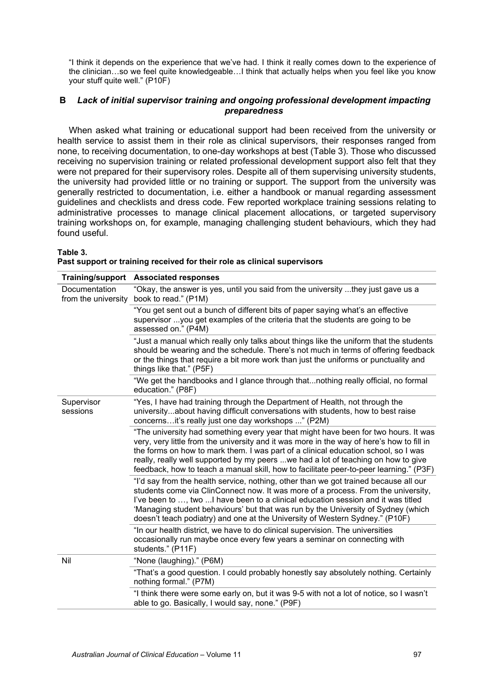"I think it depends on the experience that we've had. I think it really comes down to the experience of the clinician…so we feel quite knowledgeable…I think that actually helps when you feel like you know your stuff quite well." (P10F)

# **B** *Lack of initial supervisor training and ongoing professional development impacting preparedness*

When asked what training or educational support had been received from the university or health service to assist them in their role as clinical supervisors, their responses ranged from none, to receiving documentation, to one-day workshops at best (Table 3). Those who discussed receiving no supervision training or related professional development support also felt that they were not prepared for their supervisory roles. Despite all of them supervising university students, the university had provided little or no training or support. The support from the university was generally restricted to documentation, i.e. either a handbook or manual regarding assessment guidelines and checklists and dress code. Few reported workplace training sessions relating to administrative processes to manage clinical placement allocations, or targeted supervisory training workshops on, for example, managing challenging student behaviours, which they had found useful.

**Table 3.** 

|  | Past support or training received for their role as clinical supervisors |  |
|--|--------------------------------------------------------------------------|--|
|--|--------------------------------------------------------------------------|--|

|                                      | Training/support Associated responses                                                                                                                                                                                                                                                                                                                                                                                                                 |
|--------------------------------------|-------------------------------------------------------------------------------------------------------------------------------------------------------------------------------------------------------------------------------------------------------------------------------------------------------------------------------------------------------------------------------------------------------------------------------------------------------|
| Documentation<br>from the university | "Okay, the answer is yes, until you said from the university they just gave us a<br>book to read." (P1M)                                                                                                                                                                                                                                                                                                                                              |
|                                      | "You get sent out a bunch of different bits of paper saying what's an effective<br>supervisor you get examples of the criteria that the students are going to be<br>assessed on." (P4M)                                                                                                                                                                                                                                                               |
|                                      | "Just a manual which really only talks about things like the uniform that the students<br>should be wearing and the schedule. There's not much in terms of offering feedback<br>or the things that require a bit more work than just the uniforms or punctuality and<br>things like that." (P5F)                                                                                                                                                      |
|                                      | "We get the handbooks and I glance through thatnothing really official, no formal<br>education." (P8F)                                                                                                                                                                                                                                                                                                                                                |
| Supervisor<br>sessions               | "Yes, I have had training through the Department of Health, not through the<br>universityabout having difficult conversations with students, how to best raise<br>concernsit's really just one day workshops " (P2M)                                                                                                                                                                                                                                  |
|                                      | "The university had something every year that might have been for two hours. It was<br>very, very little from the university and it was more in the way of here's how to fill in<br>the forms on how to mark them. I was part of a clinical education school, so I was<br>really, really well supported by my peers we had a lot of teaching on how to give<br>feedback, how to teach a manual skill, how to facilitate peer-to-peer learning." (P3F) |
|                                      | "I'd say from the health service, nothing, other than we got trained because all our<br>students come via ClinConnect now. It was more of a process. From the university,<br>I've been to , two  I have been to a clinical education session and it was titled<br>'Managing student behaviours' but that was run by the University of Sydney (which<br>doesn't teach podiatry) and one at the University of Western Sydney." (P10F)                   |
|                                      | "In our health district, we have to do clinical supervision. The universities<br>occasionally run maybe once every few years a seminar on connecting with<br>students." (P11F)                                                                                                                                                                                                                                                                        |
| Nil                                  | "None (laughing)." (P6M)                                                                                                                                                                                                                                                                                                                                                                                                                              |
|                                      | "That's a good question. I could probably honestly say absolutely nothing. Certainly<br>nothing formal." (P7M)                                                                                                                                                                                                                                                                                                                                        |
|                                      | "I think there were some early on, but it was 9-5 with not a lot of notice, so I wasn't<br>able to go. Basically, I would say, none." (P9F)                                                                                                                                                                                                                                                                                                           |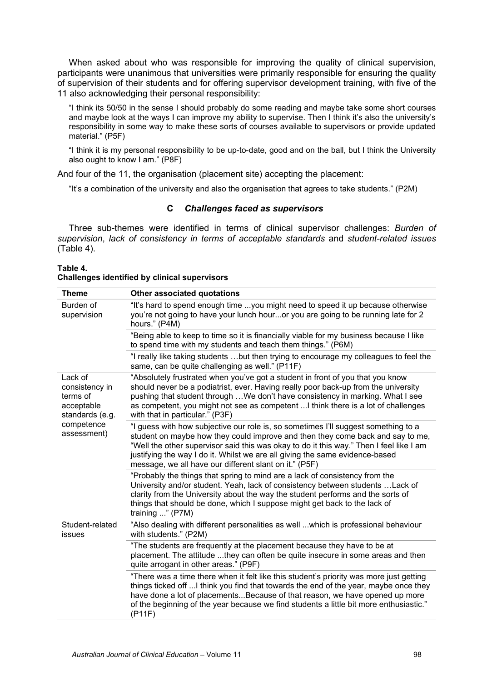When asked about who was responsible for improving the quality of clinical supervision, participants were unanimous that universities were primarily responsible for ensuring the quality of supervision of their students and for offering supervisor development training, with five of the 11 also acknowledging their personal responsibility:

"I think its 50/50 in the sense I should probably do some reading and maybe take some short courses and maybe look at the ways I can improve my ability to supervise. Then I think it's also the university's responsibility in some way to make these sorts of courses available to supervisors or provide updated material." (P5F)

"I think it is my personal responsibility to be up-to-date, good and on the ball, but I think the University also ought to know I am." (P8F)

And four of the 11, the organisation (placement site) accepting the placement:

"It's a combination of the university and also the organisation that agrees to take students." (P2M)

# **C** *Challenges faced as supervisors*

Three sub-themes were identified in terms of clinical supervisor challenges: *Burden of supervision*, *lack of consistency in terms of acceptable standards* and *student-related issues* (Table 4).

| Table 4. |  |                                                      |
|----------|--|------------------------------------------------------|
|          |  | <b>Challenges identified by clinical supervisors</b> |

| <b>Theme</b>                                                           | Other associated quotations                                                                                                                                                                                                                                                                                                                                                                               |
|------------------------------------------------------------------------|-----------------------------------------------------------------------------------------------------------------------------------------------------------------------------------------------------------------------------------------------------------------------------------------------------------------------------------------------------------------------------------------------------------|
| Burden of<br>supervision                                               | "It's hard to spend enough time you might need to speed it up because otherwise<br>you're not going to have your lunch houror you are going to be running late for 2<br>hours." (P4M)                                                                                                                                                                                                                     |
|                                                                        | "Being able to keep to time so it is financially viable for my business because I like<br>to spend time with my students and teach them things." (P6M)                                                                                                                                                                                                                                                    |
|                                                                        | "I really like taking students but then trying to encourage my colleagues to feel the<br>same, can be quite challenging as well." (P11F)                                                                                                                                                                                                                                                                  |
| Lack of<br>consistency in<br>terms of<br>acceptable<br>standards (e.g. | "Absolutely frustrated when you've got a student in front of you that you know<br>should never be a podiatrist, ever. Having really poor back-up from the university<br>pushing that student through We don't have consistency in marking. What I see<br>as competent, you might not see as competent  I think there is a lot of challenges<br>with that in particular." (P3F)                            |
| competence<br>assessment)                                              | "I guess with how subjective our role is, so sometimes I'll suggest something to a<br>student on maybe how they could improve and then they come back and say to me,<br>"Well the other supervisor said this was okay to do it this way." Then I feel like I am<br>justifying the way I do it. Whilst we are all giving the same evidence-based<br>message, we all have our different slant on it." (P5F) |
|                                                                        | "Probably the things that spring to mind are a lack of consistency from the<br>University and/or student. Yeah, lack of consistency between students  Lack of<br>clarity from the University about the way the student performs and the sorts of<br>things that should be done, which I suppose might get back to the lack of<br>training $\ldots$ " (P7M)                                                |
| Student-related<br>issues                                              | "Also dealing with different personalities as well which is professional behaviour<br>with students." (P2M)                                                                                                                                                                                                                                                                                               |
|                                                                        | "The students are frequently at the placement because they have to be at<br>placement. The attitude they can often be quite insecure in some areas and then<br>quite arrogant in other areas." (P9F)                                                                                                                                                                                                      |
|                                                                        | "There was a time there when it felt like this student's priority was more just getting<br>things ticked off  I think you find that towards the end of the year, maybe once they<br>have done a lot of placementsBecause of that reason, we have opened up more<br>of the beginning of the year because we find students a little bit more enthusiastic."<br>$($ P11F $)$                                 |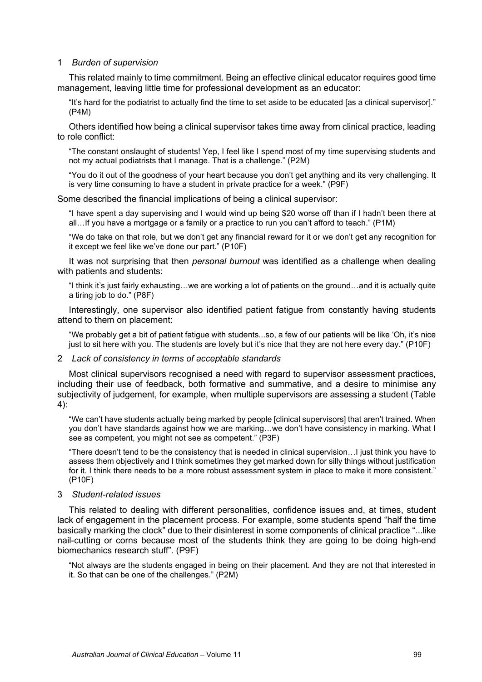## 1 *Burden of supervision*

This related mainly to time commitment. Being an effective clinical educator requires good time management, leaving little time for professional development as an educator:

"It's hard for the podiatrist to actually find the time to set aside to be educated [as a clinical supervisor]." (P4M)

Others identified how being a clinical supervisor takes time away from clinical practice, leading to role conflict:

"The constant onslaught of students! Yep, I feel like I spend most of my time supervising students and not my actual podiatrists that I manage. That is a challenge." (P2M)

"You do it out of the goodness of your heart because you don't get anything and its very challenging. It is very time consuming to have a student in private practice for a week." (P9F)

Some described the financial implications of being a clinical supervisor:

"I have spent a day supervising and I would wind up being \$20 worse off than if I hadn't been there at all…If you have a mortgage or a family or a practice to run you can't afford to teach." (P1M)

"We do take on that role, but we don't get any financial reward for it or we don't get any recognition for it except we feel like we've done our part." (P10F)

It was not surprising that then *personal burnout* was identified as a challenge when dealing with patients and students:

"I think it's just fairly exhausting…we are working a lot of patients on the ground…and it is actually quite a tiring job to do." (P8F)

Interestingly, one supervisor also identified patient fatigue from constantly having students attend to them on placement:

"We probably get a bit of patient fatigue with students...so, a few of our patients will be like 'Oh, it's nice just to sit here with you. The students are lovely but it's nice that they are not here every day." (P10F)

## 2 *Lack of consistency in terms of acceptable standards*

Most clinical supervisors recognised a need with regard to supervisor assessment practices, including their use of feedback, both formative and summative, and a desire to minimise any subjectivity of judgement, for example, when multiple supervisors are assessing a student (Table 4):

"We can't have students actually being marked by people [clinical supervisors] that aren't trained. When you don't have standards against how we are marking…we don't have consistency in marking. What I see as competent, you might not see as competent." (P3F)

"There doesn't tend to be the consistency that is needed in clinical supervision…I just think you have to assess them objectively and I think sometimes they get marked down for silly things without justification for it. I think there needs to be a more robust assessment system in place to make it more consistent." (P10F)

# 3 *Student-related issues*

This related to dealing with different personalities, confidence issues and, at times, student lack of engagement in the placement process. For example, some students spend "half the time basically marking the clock" due to their disinterest in some components of clinical practice "...like nail-cutting or corns because most of the students think they are going to be doing high-end biomechanics research stuff". (P9F)

"Not always are the students engaged in being on their placement. And they are not that interested in it. So that can be one of the challenges." (P2M)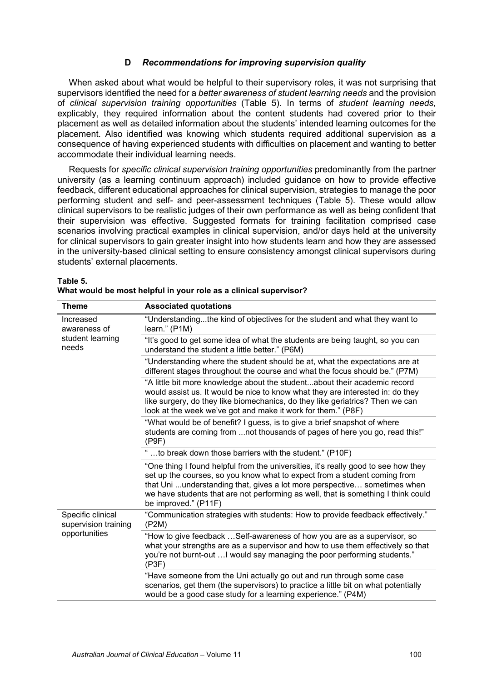# **D** *Recommendations for improving supervision quality*

When asked about what would be helpful to their supervisory roles, it was not surprising that supervisors identified the need for a *better awareness of student learning needs* and the provision of *clinical supervision training opportunities* (Table 5). In terms of *student learning needs,* explicably, they required information about the content students had covered prior to their placement as well as detailed information about the students' intended learning outcomes for the placement. Also identified was knowing which students required additional supervision as a consequence of having experienced students with difficulties on placement and wanting to better accommodate their individual learning needs.

Requests for *specific clinical supervision training opportunities* predominantly from the partner university (as a learning continuum approach) included guidance on how to provide effective feedback, different educational approaches for clinical supervision, strategies to manage the poor performing student and self- and peer-assessment techniques (Table 5). These would allow clinical supervisors to be realistic judges of their own performance as well as being confident that their supervision was effective. Suggested formats for training facilitation comprised case scenarios involving practical examples in clinical supervision, and/or days held at the university for clinical supervisors to gain greater insight into how students learn and how they are assessed in the university-based clinical setting to ensure consistency amongst clinical supervisors during students' external placements.

| Theme                                                      | <b>Associated quotations</b>                                                                                                                                                                                                                                                                                                                             |
|------------------------------------------------------------|----------------------------------------------------------------------------------------------------------------------------------------------------------------------------------------------------------------------------------------------------------------------------------------------------------------------------------------------------------|
| Increased<br>awareness of<br>student learning<br>needs     | "Understandingthe kind of objectives for the student and what they want to<br>learn." (P1M)                                                                                                                                                                                                                                                              |
|                                                            | "It's good to get some idea of what the students are being taught, so you can<br>understand the student a little better." (P6M)                                                                                                                                                                                                                          |
|                                                            | "Understanding where the student should be at, what the expectations are at<br>different stages throughout the course and what the focus should be." (P7M)                                                                                                                                                                                               |
|                                                            | "A little bit more knowledge about the studentabout their academic record<br>would assist us. It would be nice to know what they are interested in: do they<br>like surgery, do they like biomechanics, do they like geriatrics? Then we can<br>look at the week we've got and make it work for them." (P8F)                                             |
|                                                            | "What would be of benefit? I guess, is to give a brief snapshot of where<br>students are coming from not thousands of pages of here you go, read this!"<br>(P9F)                                                                                                                                                                                         |
|                                                            | "to break down those barriers with the student." (P10F)                                                                                                                                                                                                                                                                                                  |
|                                                            | "One thing I found helpful from the universities, it's really good to see how they<br>set up the courses, so you know what to expect from a student coming from<br>that Uni understanding that, gives a lot more perspective sometimes when<br>we have students that are not performing as well, that is something I think could<br>be improved." (P11F) |
| Specific clinical<br>supervision training<br>opportunities | "Communication strategies with students: How to provide feedback effectively."<br>(P2M)                                                                                                                                                                                                                                                                  |
|                                                            | "How to give feedback Self-awareness of how you are as a supervisor, so<br>what your strengths are as a supervisor and how to use them effectively so that<br>you're not burnt-out  I would say managing the poor performing students."<br>(P3F)                                                                                                         |
|                                                            | "Have someone from the Uni actually go out and run through some case<br>scenarios, get them (the supervisors) to practice a little bit on what potentially<br>would be a good case study for a learning experience." (P4M)                                                                                                                               |

#### **Table 5. What would be most helpful in your role as a clinical supervisor?**

| "Understanding where the student should be                                                                                                                                                                                    |
|-------------------------------------------------------------------------------------------------------------------------------------------------------------------------------------------------------------------------------|
| . THE contract of the contract of the contract of the contract of the contract of the contract of the contract of the contract of the contract of the contract of the contract of the contract of the contract of the contrac |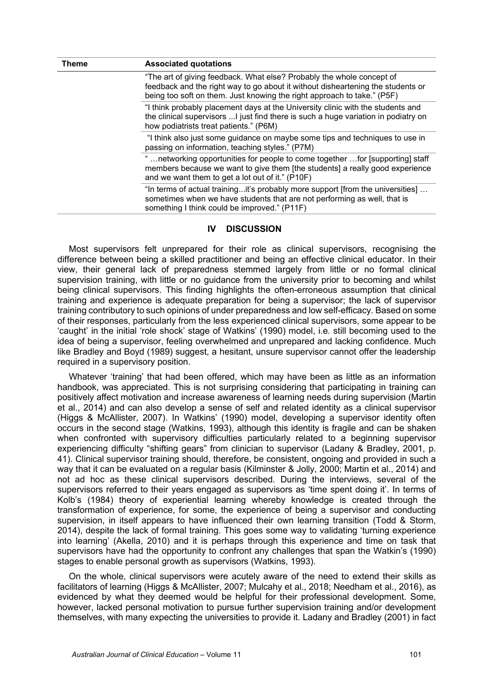| Theme | <b>Associated quotations</b>                                                                                                                                                                                                        |  |  |
|-------|-------------------------------------------------------------------------------------------------------------------------------------------------------------------------------------------------------------------------------------|--|--|
|       | "The art of giving feedback. What else? Probably the whole concept of<br>feedback and the right way to go about it without disheartening the students or<br>being too soft on them. Just knowing the right approach to take." (P5F) |  |  |
|       | "I think probably placement days at the University clinic with the students and<br>the clinical supervisors  I just find there is such a huge variation in podiatry on<br>how podiatrists treat patients." (P6M)                    |  |  |
|       | "I think also just some guidance on maybe some tips and techniques to use in<br>passing on information, teaching styles." (P7M)                                                                                                     |  |  |
|       | networking opportunities for people to come together  for [supporting] staff<br>members because we want to give them [the students] a really good experience<br>and we want them to get a lot out of it." (P10F)                    |  |  |
|       | "In terms of actual trainingit's probably more support [from the universities]<br>sometimes when we have students that are not performing as well, that is<br>something I think could be improved." (P11F)                          |  |  |

# **IV DISCUSSION**

Most supervisors felt unprepared for their role as clinical supervisors, recognising the difference between being a skilled practitioner and being an effective clinical educator. In their view, their general lack of preparedness stemmed largely from little or no formal clinical supervision training, with little or no guidance from the university prior to becoming and whilst being clinical supervisors. This finding highlights the often-erroneous assumption that clinical training and experience is adequate preparation for being a supervisor; the lack of supervisor training contributory to such opinions of under preparedness and low self-efficacy. Based on some of their responses, particularly from the less experienced clinical supervisors, some appear to be 'caught' in the initial 'role shock' stage of Watkins' (1990) model, i.e. still becoming used to the idea of being a supervisor, feeling overwhelmed and unprepared and lacking confidence. Much like Bradley and Boyd (1989) suggest, a hesitant, unsure supervisor cannot offer the leadership required in a supervisory position.

Whatever 'training' that had been offered, which may have been as little as an information handbook, was appreciated. This is not surprising considering that participating in training can positively affect motivation and increase awareness of learning needs during supervision (Martin et al., 2014) and can also develop a sense of self and related identity as a clinical supervisor (Higgs & McAllister, 2007). In Watkins' (1990) model, developing a supervisor identity often occurs in the second stage (Watkins, 1993), although this identity is fragile and can be shaken when confronted with supervisory difficulties particularly related to a beginning supervisor experiencing difficulty "shifting gears" from clinician to supervisor (Ladany & Bradley, 2001, p. 41). Clinical supervisor training should, therefore, be consistent, ongoing and provided in such a way that it can be evaluated on a regular basis (Kilminster & Jolly, 2000; Martin et al., 2014) and not ad hoc as these clinical supervisors described. During the interviews, several of the supervisors referred to their years engaged as supervisors as 'time spent doing it'. In terms of Kolb's (1984) theory of experiential learning whereby knowledge is created through the transformation of experience, for some, the experience of being a supervisor and conducting supervision, in itself appears to have influenced their own learning transition (Todd & Storm, 2014), despite the lack of formal training. This goes some way to validating 'turning experience into learning' (Akella, 2010) and it is perhaps through this experience and time on task that supervisors have had the opportunity to confront any challenges that span the Watkin's (1990) stages to enable personal growth as supervisors (Watkins, 1993).

On the whole, clinical supervisors were acutely aware of the need to extend their skills as facilitators of learning (Higgs & McAllister, 2007; Mulcahy et al., 2018; Needham et al., 2016), as evidenced by what they deemed would be helpful for their professional development. Some, however, lacked personal motivation to pursue further supervision training and/or development themselves, with many expecting the universities to provide it. Ladany and Bradley (2001) in fact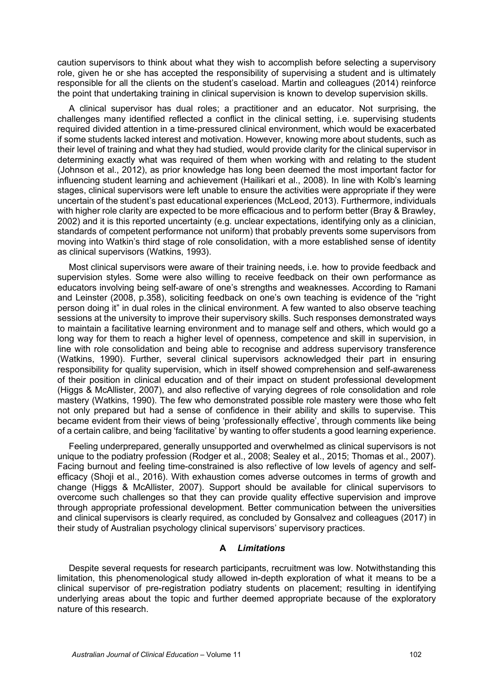caution supervisors to think about what they wish to accomplish before selecting a supervisory role, given he or she has accepted the responsibility of supervising a student and is ultimately responsible for all the clients on the student's caseload. Martin and colleagues (2014) reinforce the point that undertaking training in clinical supervision is known to develop supervision skills.

A clinical supervisor has dual roles; a practitioner and an educator. Not surprising, the challenges many identified reflected a conflict in the clinical setting, i.e. supervising students required divided attention in a time-pressured clinical environment, which would be exacerbated if some students lacked interest and motivation. However, knowing more about students, such as their level of training and what they had studied, would provide clarity for the clinical supervisor in determining exactly what was required of them when working with and relating to the student (Johnson et al., 2012), as prior knowledge has long been deemed the most important factor for influencing student learning and achievement (Hailikari et al., 2008). In line with Kolb's learning stages, clinical supervisors were left unable to ensure the activities were appropriate if they were uncertain of the student's past educational experiences (McLeod, 2013). Furthermore, individuals with higher role clarity are expected to be more efficacious and to perform better (Bray & Brawley, 2002) and it is this reported uncertainty (e.g. unclear expectations, identifying only as a clinician, standards of competent performance not uniform) that probably prevents some supervisors from moving into Watkin's third stage of role consolidation, with a more established sense of identity as clinical supervisors (Watkins, 1993).

Most clinical supervisors were aware of their training needs, i.e. how to provide feedback and supervision styles. Some were also willing to receive feedback on their own performance as educators involving being self-aware of one's strengths and weaknesses. According to Ramani and Leinster (2008, p.358), soliciting feedback on one's own teaching is evidence of the "right person doing it" in dual roles in the clinical environment. A few wanted to also observe teaching sessions at the university to improve their supervisory skills. Such responses demonstrated ways to maintain a facilitative learning environment and to manage self and others, which would go a long way for them to reach a higher level of openness, competence and skill in supervision, in line with role consolidation and being able to recognise and address supervisory transference (Watkins, 1990). Further, several clinical supervisors acknowledged their part in ensuring responsibility for quality supervision, which in itself showed comprehension and self-awareness of their position in clinical education and of their impact on student professional development (Higgs & McAllister, 2007), and also reflective of varying degrees of role consolidation and role mastery (Watkins, 1990). The few who demonstrated possible role mastery were those who felt not only prepared but had a sense of confidence in their ability and skills to supervise. This became evident from their views of being 'professionally effective', through comments like being of a certain calibre, and being 'facilitative' by wanting to offer students a good learning experience.

Feeling underprepared, generally unsupported and overwhelmed as clinical supervisors is not unique to the podiatry profession (Rodger et al., 2008; Sealey et al., 2015; Thomas et al., 2007). Facing burnout and feeling time-constrained is also reflective of low levels of agency and selfefficacy (Shoji et al., 2016). With exhaustion comes adverse outcomes in terms of growth and change (Higgs & McAllister, 2007). Support should be available for clinical supervisors to overcome such challenges so that they can provide quality effective supervision and improve through appropriate professional development. Better communication between the universities and clinical supervisors is clearly required, as concluded by Gonsalvez and colleagues (2017) in their study of Australian psychology clinical supervisors' supervisory practices.

# **A** *Limitations*

Despite several requests for research participants, recruitment was low. Notwithstanding this limitation, this phenomenological study allowed in-depth exploration of what it means to be a clinical supervisor of pre-registration podiatry students on placement; resulting in identifying underlying areas about the topic and further deemed appropriate because of the exploratory nature of this research.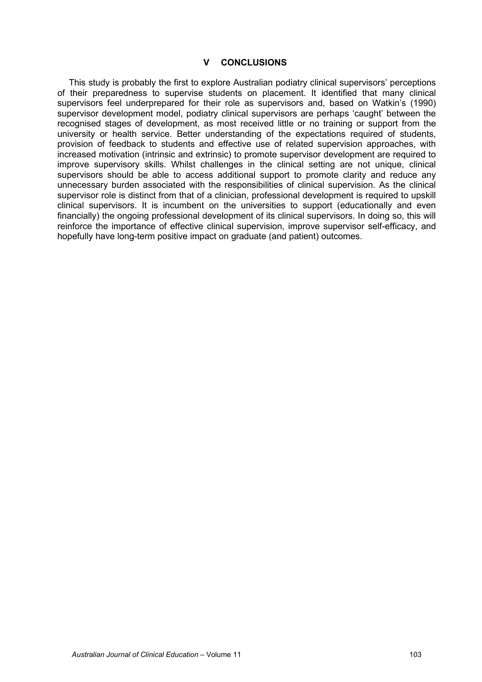## **V CONCLUSIONS**

This study is probably the first to explore Australian podiatry clinical supervisors' perceptions of their preparedness to supervise students on placement. It identified that many clinical supervisors feel underprepared for their role as supervisors and, based on Watkin's (1990) supervisor development model, podiatry clinical supervisors are perhaps 'caught' between the recognised stages of development, as most received little or no training or support from the university or health service. Better understanding of the expectations required of students, provision of feedback to students and effective use of related supervision approaches, with increased motivation (intrinsic and extrinsic) to promote supervisor development are required to improve supervisory skills. Whilst challenges in the clinical setting are not unique, clinical supervisors should be able to access additional support to promote clarity and reduce any unnecessary burden associated with the responsibilities of clinical supervision. As the clinical supervisor role is distinct from that of a clinician, professional development is required to upskill clinical supervisors. It is incumbent on the universities to support (educationally and even financially) the ongoing professional development of its clinical supervisors. In doing so, this will reinforce the importance of effective clinical supervision, improve supervisor self-efficacy, and hopefully have long-term positive impact on graduate (and patient) outcomes.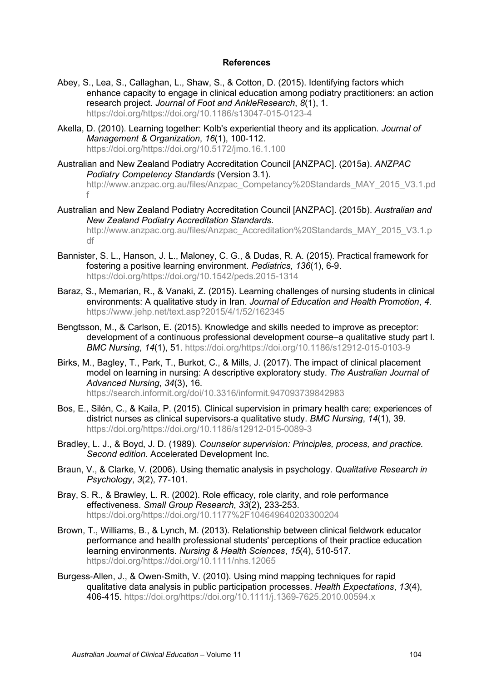## **References**

- Abey, S., Lea, S., Callaghan, L., Shaw, S., & Cotton, D. (2015). Identifying factors which enhance capacity to engage in clinical education among podiatry practitioners: an action research project. *Journal of Foot and AnkleResearch*, *8*(1), 1. [https://doi.org/https://doi.org/10.1186/s13047-015-0123-4](https://doi.org/https:/doi.org/10.1186/s13047-015-0123-4)
- Akella, D. (2010). Learning together: Kolb's experiential theory and its application. *Journal of Management & Organization*, *16*(1), 100-112. [https://doi.org/https://doi.org/10.5172/jmo.16.1.100](https://doi.org/https:/doi.org/10.5172/jmo.16.1.100)
- Australian and New Zealand Podiatry Accreditation Council [ANZPAC]. (2015a). *ANZPAC Podiatry Competency Standards* (Version 3.1). [http://www.anzpac.org.au/files/Anzpac\\_Competancy%20Standards\\_MAY\\_2015\\_V3.1.pd](http://www.anzpac.org.au/files/Anzpac_Competancy%20Standards_MAY_2015_V3.1.pdf) [f](http://www.anzpac.org.au/files/Anzpac_Competancy%20Standards_MAY_2015_V3.1.pdf)
- Australian and New Zealand Podiatry Accreditation Council [ANZPAC]. (2015b). *Australian and New Zealand Podiatry Accreditation Standards*. [http://www.anzpac.org.au/files/Anzpac\\_Accreditation%20Standards\\_MAY\\_2015\\_V3.1.p](http://www.anzpac.org.au/files/Anzpac_Accreditation%20Standards_MAY_2015_V3.1.pdf) [df](http://www.anzpac.org.au/files/Anzpac_Accreditation%20Standards_MAY_2015_V3.1.pdf)
- Bannister, S. L., Hanson, J. L., Maloney, C. G., & Dudas, R. A. (2015). Practical framework for fostering a positive learning environment. *Pediatrics*, *136*(1), 6-9. [https://doi.org/https://doi.org/10.1542/peds.2015-1314](https://doi.org/https:/doi.org/10.1542/peds.2015-1314)
- Baraz, S., Memarian, R., & Vanaki, Z. (2015). Learning challenges of nursing students in clinical environments: A qualitative study in Iran. *Journal of Education and Health Promotion*, *4*. <https://www.jehp.net/text.asp?2015/4/1/52/162345>
- Bengtsson, M., & Carlson, E. (2015). Knowledge and skills needed to improve as preceptor: development of a continuous professional development course–a qualitative study part I. *BMC Nursing*, *14*(1), 51. [https://doi.org/https://doi.org/10.1186/s12912-015-0103-9](https://doi.org/https:/doi.org/10.1186/s12912-015-0103-9)
- Birks, M., Bagley, T., Park, T., Burkot, C., & Mills, J. (2017). The impact of clinical placement model on learning in nursing: A descriptive exploratory study. *The Australian Journal of Advanced Nursing*, *34*(3), 16. <https://search.informit.org/doi/10.3316/informit.947093739842983>
- Bos, E., Silén, C., & Kaila, P. (2015). Clinical supervision in primary health care; experiences of district nurses as clinical supervisors-a qualitative study. *BMC Nursing*, *14*(1), 39. [https://doi.org/https://doi.org/10.1186/s12912-015-0089-3](https://doi.org/https:/doi.org/10.1186/s12912-015-0089-3)
- Bradley, L. J., & Boyd, J. D. (1989). *Counselor supervision: Principles, process, and practice. Second edition.* Accelerated Development Inc.
- Braun, V., & Clarke, V. (2006). Using thematic analysis in psychology. *Qualitative Research in Psychology*, *3*(2), 77-101.
- Bray, S. R., & Brawley, L. R. (2002). Role efficacy, role clarity, and role performance effectiveness. *Small Group Research*, *33*(2), 233-253. [https://doi.org/https://doi.org/10.1177%2F104649640203300204](https://doi.org/https:/doi.org/10.1177%2F104649640203300204)
- Brown, T., Williams, B., & Lynch, M. (2013). Relationship between clinical fieldwork educator performance and health professional students' perceptions of their practice education learning environments. *Nursing & Health Sciences*, *15*(4), 510-517. [https://doi.org/https://doi.org/10.1111/nhs.12065](https://doi.org/https:/doi.org/10.1111/nhs.12065)
- Burgess‐Allen, J., & Owen‐Smith, V. (2010). Using mind mapping techniques for rapid qualitative data analysis in public participation processes. *Health Expectations*, *13*(4), 406-415. [https://doi.org/https://doi.org/10.1111/j.1369-7625.2010.00594.x](https://doi.org/https:/doi.org/10.1111/j.1369-7625.2010.00594.x)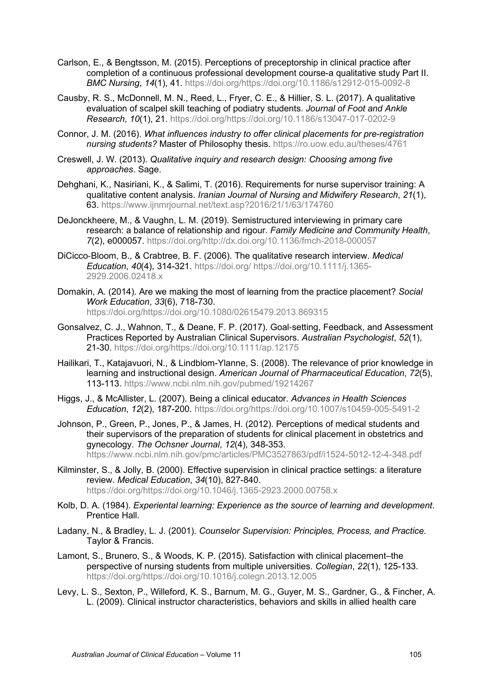- Carlson, E., & Bengtsson, M. (2015). Perceptions of preceptorship in clinical practice after completion of a continuous professional development course-a qualitative study Part II. *BMC Nursing*, *14*(1), 41. [https://doi.org/https://doi.org/10.1186/s12912-015-0092-8](https://doi.org/https:/doi.org/10.1186/s12912-015-0092-8)
- Causby, R. S., McDonnell, M. N., Reed, L., Fryer, C. E., & Hillier, S. L. (2017). A qualitative evaluation of scalpel skill teaching of podiatry students. *Journal of Foot and Ankle Research*, *10*(1), 21. [https://doi.org/https://doi.org/10.1186/s13047-017-0202-9](https://doi.org/https:/doi.org/10.1186/s13047-017-0202-9)
- Connor, J. M. (2016). *What influences industry to offer clinical placements for pre-registration nursing students?* Master of Philosophy thesis.<https://ro.uow.edu.au/theses/4761>
- Creswell, J. W. (2013). *Qualitative inquiry and research design: Choosing among five approaches*. Sage.
- Dehghani, K., Nasiriani, K., & Salimi, T. (2016). Requirements for nurse supervisor training: A qualitative content analysis. *Iranian Journal of Nursing and Midwifery Research*, *21*(1), 63.<https://www.ijnmrjournal.net/text.asp?2016/21/1/63/174760>
- DeJonckheere, M., & Vaughn, L. M. (2019). Semistructured interviewing in primary care research: a balance of relationship and rigour. *Family Medicine and Community Health*, *7*(2), e000057. [https://doi.org/http://dx.doi.org/10.1136/fmch-2018-000057](https://doi.org/http:/dx.doi.org/10.1136/fmch-2018-000057)
- DiCicco‐Bloom, B., & Crabtree, B. F. (2006). The qualitative research interview. *Medical Education*, *40*(4), 314-321.<https://doi.org/> [https://doi.org/10.1111/j.1365-](https://doi.org/10.1111/j.1365-2929.2006.02418.x) [2929.2006.02418.x](https://doi.org/10.1111/j.1365-2929.2006.02418.x)
- Domakin, A. (2014). Are we making the most of learning from the practice placement? *Social Work Education*, *33*(6), 718-730. [https://doi.org/https://doi.org/10.1080/02615479.2013.869315](https://doi.org/https:/doi.org/10.1080/02615479.2013.869315)
- Gonsalvez, C. J., Wahnon, T., & Deane, F. P. (2017). Goal‐setting, Feedback, and Assessment Practices Reported by Australian Clinical Supervisors. *Australian Psychologist*, *52*(1), 21-30. [https://doi.org/https://doi.org/10.1111/ap.12175](https://doi.org/https:/doi.org/10.1111/ap.12175)
- Hailikari, T., Katajavuori, N., & Lindblom-Ylanne, S. (2008). The relevance of prior knowledge in learning and instructional design. *American Journal of Pharmaceutical Education*, *72*(5), 113-113.<https://www.ncbi.nlm.nih.gov/pubmed/19214267>
- Higgs, J., & McAllister, L. (2007). Being a clinical educator. *Advances in Health Sciences Education*, *12*(2), 187-200. [https://doi.org/https://doi.org/10.1007/s10459-005-5491-2](https://doi.org/https:/doi.org/10.1007/s10459-005-5491-2)
- Johnson, P., Green, P., Jones, P., & James, H. (2012). Perceptions of medical students and their supervisors of the preparation of students for clinical placement in obstetrics and gynecology. *The Ochsner Journal*, *12*(4), 348-353. <https://www.ncbi.nlm.nih.gov/pmc/articles/PMC3527863/pdf/i1524-5012-12-4-348.pdf>
- Kilminster, S., & Jolly, B. (2000). Effective supervision in clinical practice settings: a literature review. *Medical Education*, *34*(10), 827-840. [https://doi.org/https://doi.org/10.1046/j.1365-2923.2000.00758.x](https://doi.org/https:/doi.org/10.1046/j.1365-2923.2000.00758.x)
- Kolb, D. A. (1984). *Experiental learning: Experience as the source of learning and development*. Prentice Hall.
- Ladany, N., & Bradley, L. J. (2001). *Counselor Supervision: Principles, Process, and Practice*. Taylor & Francis.
- Lamont, S., Brunero, S., & Woods, K. P. (2015). Satisfaction with clinical placement–the perspective of nursing students from multiple universities. *Collegian*, *22*(1), 125-133. [https://doi.org/https://doi.org/10.1016/j.colegn.2013.12.005](https://doi.org/https:/doi.org/10.1016/j.colegn.2013.12.005)
- Levy, L. S., Sexton, P., Willeford, K. S., Barnum, M. G., Guyer, M. S., Gardner, G., & Fincher, A. L. (2009). Clinical instructor characteristics, behaviors and skills in allied health care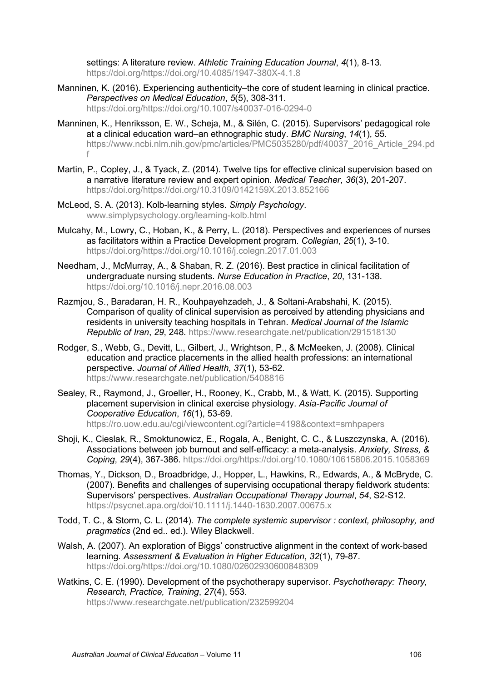settings: A literature review. *Athletic Training Education Journal*, *4*(1), 8-13. [https://doi.org/https://doi.org/10.4085/1947-380X-4.1.8](https://doi.org/https:/doi.org/10.4085/1947-380X-4.1.8)

- Manninen, K. (2016). Experiencing authenticity–the core of student learning in clinical practice. *Perspectives on Medical Education*, *5*(5), 308-311. [https://doi.org/https://doi.org/10.1007/s40037-016-0294-0](https://doi.org/https:/doi.org/10.1007/s40037-016-0294-0)
- Manninen, K., Henriksson, E. W., Scheja, M., & Silén, C. (2015). Supervisors' pedagogical role at a clinical education ward–an ethnographic study. *BMC Nursing*, *14*(1), 55. [https://www.ncbi.nlm.nih.gov/pmc/articles/PMC5035280/pdf/40037\\_2016\\_Article\\_294.pd](https://www.ncbi.nlm.nih.gov/pmc/articles/PMC5035280/pdf/40037_2016_Article_294.pdf) [f](https://www.ncbi.nlm.nih.gov/pmc/articles/PMC5035280/pdf/40037_2016_Article_294.pdf)
- Martin, P., Copley, J., & Tyack, Z. (2014). Twelve tips for effective clinical supervision based on a narrative literature review and expert opinion. *Medical Teacher*, *36*(3), 201-207. [https://doi.org/https://doi.org/10.3109/0142159X.2013.852166](https://doi.org/https:/doi.org/10.3109/0142159X.2013.852166)
- McLeod, S. A. (2013). Kolb-learning styles. *Simply Psychology*. www.simplypsychology.org/learning-kolb.html
- Mulcahy, M., Lowry, C., Hoban, K., & Perry, L. (2018). Perspectives and experiences of nurses as facilitators within a Practice Development program. *Collegian*, *25*(1), 3-10. [https://doi.org/https://doi.org/10.1016/j.colegn.2017.01.003](https://doi.org/https:/doi.org/10.1016/j.colegn.2017.01.003)
- Needham, J., McMurray, A., & Shaban, R. Z. (2016). Best practice in clinical facilitation of undergraduate nursing students. *Nurse Education in Practice*, *20*, 131-138. <https://doi.org/10.1016/j.nepr.2016.08.003>
- Razmjou, S., Baradaran, H. R., Kouhpayehzadeh, J., & Soltani-Arabshahi, K. (2015). Comparison of quality of clinical supervision as perceived by attending physicians and residents in university teaching hospitals in Tehran. *Medical Journal of the Islamic Republic of Iran*, *29*, 248.<https://www.researchgate.net/publication/291518130>
- Rodger, S., Webb, G., Devitt, L., Gilbert, J., Wrightson, P., & McMeeken, J. (2008). Clinical education and practice placements in the allied health professions: an international perspective. *Journal of Allied Health*, *37*(1), 53-62. <https://www.researchgate.net/publication/5408816>
- Sealey, R., Raymond, J., Groeller, H., Rooney, K., Crabb, M., & Watt, K. (2015). Supporting placement supervision in clinical exercise physiology. *Asia-Pacific Journal of Cooperative Education*, *16*(1), 53-69. <https://ro.uow.edu.au/cgi/viewcontent.cgi?article=4198&context=smhpapers>
- Shoji, K., Cieslak, R., Smoktunowicz, E., Rogala, A., Benight, C. C., & Luszczynska, A. (2016). Associations between job burnout and self-efficacy: a meta-analysis. *Anxiety, Stress, & Coping*, *29*(4), 367-386. [https://doi.org/https://doi.org/10.1080/10615806.2015.1058369](https://doi.org/https:/doi.org/10.1080/10615806.2015.1058369)
- Thomas, Y., Dickson, D., Broadbridge, J., Hopper, L., Hawkins, R., Edwards, A., & McBryde, C. (2007). Benefits and challenges of supervising occupational therapy fieldwork students: Supervisors' perspectives. *Australian Occupational Therapy Journal*, *54*, S2-S12. <https://psycnet.apa.org/doi/10.1111/j.1440-1630.2007.00675.x>
- Todd, T. C., & Storm, C. L. (2014). *The complete systemic supervisor : context, philosophy, and pragmatics* (2nd ed.. ed.). Wiley Blackwell.
- Walsh, A. (2007). An exploration of Biggs' constructive alignment in the context of work‐based learning. *Assessment & Evaluation in Higher Education*, *32*(1), 79-87. [https://doi.org/https://doi.org/10.1080/02602930600848309](https://doi.org/https:/doi.org/10.1080/02602930600848309)
- Watkins, C. E. (1990). Development of the psychotherapy supervisor. *Psychotherapy: Theory, Research, Practice, Training*, *27*(4), 553. <https://www.researchgate.net/publication/232599204>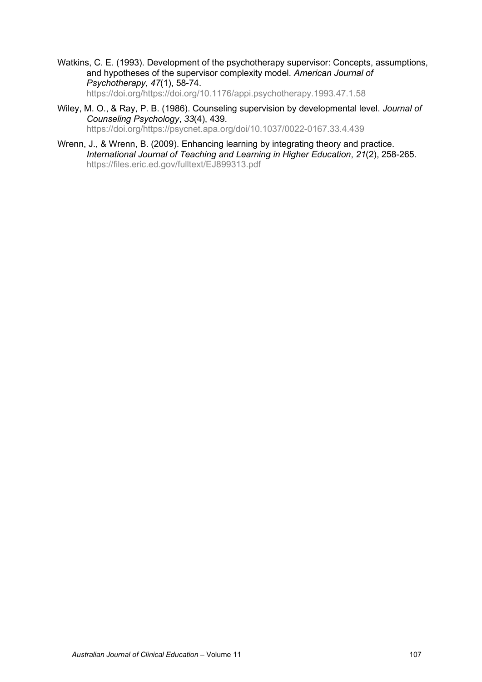Watkins, C. E. (1993). Development of the psychotherapy supervisor: Concepts, assumptions, and hypotheses of the supervisor complexity model. *American Journal of Psychotherapy*, *47*(1), 58-74. [https://doi.org/https://doi.org/10.1176/appi.psychotherapy.1993.47.1.58](https://doi.org/https:/doi.org/10.1176/appi.psychotherapy.1993.47.1.58)

- Wiley, M. O., & Ray, P. B. (1986). Counseling supervision by developmental level. *Journal of Counseling Psychology*, *33*(4), 439. [https://doi.org/https://psycnet.apa.org/doi/10.1037/0022-0167.33.4.439](https://doi.org/https:/psycnet.apa.org/doi/10.1037/0022-0167.33.4.439)
- Wrenn, J., & Wrenn, B. (2009). Enhancing learning by integrating theory and practice. *International Journal of Teaching and Learning in Higher Education*, *21*(2), 258-265. <https://files.eric.ed.gov/fulltext/EJ899313.pdf>